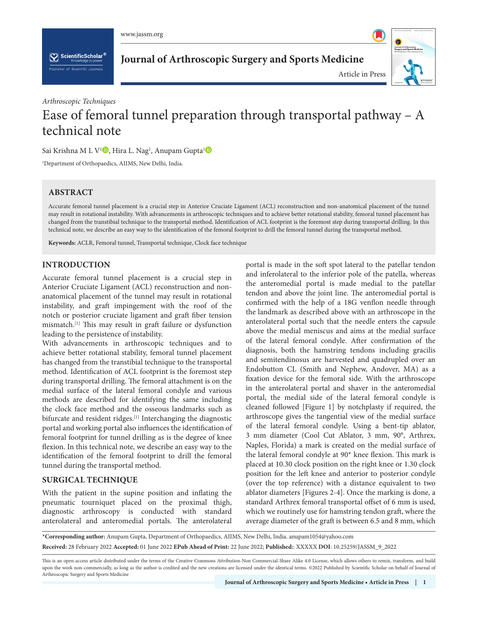www.jassm.org

 $\left[\bigvee_{k}\right]$  ScientificScholar<sup>®</sup>

**Journal of Arthroscopic Surgery and Sports Medicine**



Article in Press

# *Arthroscopic Techniques* Ease of femoral tunnel preparation through transportal pathway – A technical note

Sai Krishna M L V<sup>[1](https://orcid.org/0000-0003-2289-4642)</sup> , Hira L. Nag<sup>1</sup>, Anupam Gupta<sup>1</sup>

1 Department of Orthopaedics, AIIMS, New Delhi, India.

# **ABSTRACT**

Accurate femoral tunnel placement is a crucial step in Anterior Cruciate Ligament (ACL) reconstruction and non-anatomical placement of the tunnel may result in rotational instability. With advancements in arthroscopic techniques and to achieve better rotational stability, femoral tunnel placement has changed from the transtibial technique to the transportal method. Identification of ACL footprint is the foremost step during transportal drilling. In this technical note, we describe an easy way to the identification of the femoral footprint to drill the femoral tunnel during the transportal method.

**Keywords:** ACLR, Femoral tunnel, Transportal technique, Clock face technique

## **INTRODUCTION**

Accurate femoral tunnel placement is a crucial step in Anterior Cruciate Ligament (ACL) reconstruction and nonanatomical placement of the tunnel may result in rotational instability, and graft impingement with the roof of the notch or posterior cruciate ligament and graft fiber tension mismatch.[1] This may result in graft failure or dysfunction leading to the persistence of instability.

With advancements in arthroscopic techniques and to achieve better rotational stability, femoral tunnel placement has changed from the transtibial technique to the transportal method. Identification of ACL footprint is the foremost step during transportal drilling. The femoral attachment is on the medial surface of the lateral femoral condyle and various methods are described for identifying the same including the clock face method and the osseous landmarks such as bifurcate and resident ridges.<sup>[1]</sup> Interchanging the diagnostic portal and working portal also influences the identification of femoral footprint for tunnel drilling as is the degree of knee flexion. In this technical note, we describe an easy way to the identification of the femoral footprint to drill the femoral tunnel during the transportal method.

## **SURGICAL TECHNIQUE**

With the patient in the supine position and inflating the pneumatic tourniquet placed on the proximal thigh, diagnostic arthroscopy is conducted with standard anterolateral and anteromedial portals. The anterolateral portal is made in the soft spot lateral to the patellar tendon and inferolateral to the inferior pole of the patella, whereas the anteromedial portal is made medial to the patellar tendon and above the joint line. The anteromedial portal is confirmed with the help of a 18G venflon needle through the landmark as described above with an arthroscope in the anterolateral portal such that the needle enters the capsule above the medial meniscus and aims at the medial surface of the lateral femoral condyle. After confirmation of the diagnosis, both the hamstring tendons including gracilis and semitendinosus are harvested and quadrupled over an Endobutton CL (Smith and Nephew, Andover, MA) as a fixation device for the femoral side. With the arthroscope in the anterolateral portal and shaver in the anteromedial portal, the medial side of the lateral femoral condyle is cleaned followed [Figure 1] by notchplasty if required, the arthroscope gives the tangential view of the medial surface of the lateral femoral condyle. Using a bent-tip ablator, 3 mm diameter (Cool Cut Ablator, 3 mm, 90°, Arthrex, Naples, Florida) a mark is created on the medial surface of the lateral femoral condyle at 90\* knee flexion. This mark is placed at 10.30 clock position on the right knee or 1.30 clock position for the left knee and anterior to posterior condyle (over the top reference) with a distance equivalent to two ablator diameters [Figures 2-4]. Once the marking is done, a standard Arthrex femoral transportal offset of 6 mm is used, which we routinely use for hamstring tendon graft, where the average diameter of the graft is between 6.5 and 8 mm, which

**\*Corresponding author:** Anupam Gupta, Department of Orthopaedics, AIIMS, New Delhi, India. anupam1054@yahoo.com **Received:** 28 February 2022 **Accepted:** 01 June 2022 **EPub Ahead of Print:** 22 June 2022; **Published:**: XXXXX **DOI**: [10.25259/JASSM\\_9\\_2022](https://dx.doi.org/10.25259/JASSM_9_2022)

This is an open-access article distributed under the terms of the Creative Commons Attribution-Non Commercial-Share Alike 4.0 License, which allows others to remix, transform, and build upon the work non-commercially, as long as the author is credited and the new creations are licensed under the identical terms. ©2022 Published by Scientific Scholar on behalf of Journal of Arthroscopic Surgery and Sports Medicine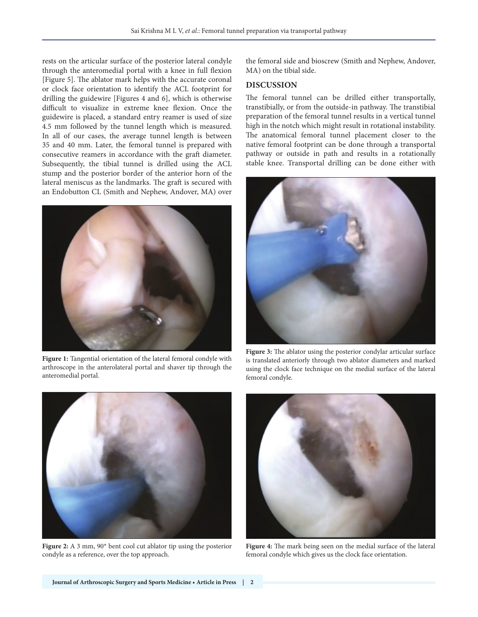rests on the articular surface of the posterior lateral condyle through the anteromedial portal with a knee in full flexion [Figure 5]. The ablator mark helps with the accurate coronal or clock face orientation to identify the ACL footprint for drilling the guidewire [Figures 4 and 6], which is otherwise difficult to visualize in extreme knee flexion. Once the guidewire is placed, a standard entry reamer is used of size 4.5 mm followed by the tunnel length which is measured. In all of our cases, the average tunnel length is between 35 and 40 mm. Later, the femoral tunnel is prepared with consecutive reamers in accordance with the graft diameter. Subsequently, the tibial tunnel is drilled using the ACL stump and the posterior border of the anterior horn of the lateral meniscus as the landmarks. The graft is secured with an Endobutton CL (Smith and Nephew, Andover, MA) over



**Figure 1:** Tangential orientation of the lateral femoral condyle with arthroscope in the anterolateral portal and shaver tip through the anteromedial portal.

**Figure 2:** A 3 mm, 90\* bent cool cut ablator tip using the posterior condyle as a reference, over the top approach.

the femoral side and bioscrew (Smith and Nephew, Andover, MA) on the tibial side.

## **DISCUSSION**

The femoral tunnel can be drilled either transportally, transtibially, or from the outside-in pathway. The transtibial preparation of the femoral tunnel results in a vertical tunnel high in the notch which might result in rotational instability. The anatomical femoral tunnel placement closer to the native femoral footprint can be done through a transportal pathway or outside in path and results in a rotationally stable knee. Transportal drilling can be done either with



**Figure 3:** The ablator using the posterior condylar articular surface is translated anteriorly through two ablator diameters and marked using the clock face technique on the medial surface of the lateral femoral condyle.



**Figure 4:** The mark being seen on the medial surface of the lateral femoral condyle which gives us the clock face orientation.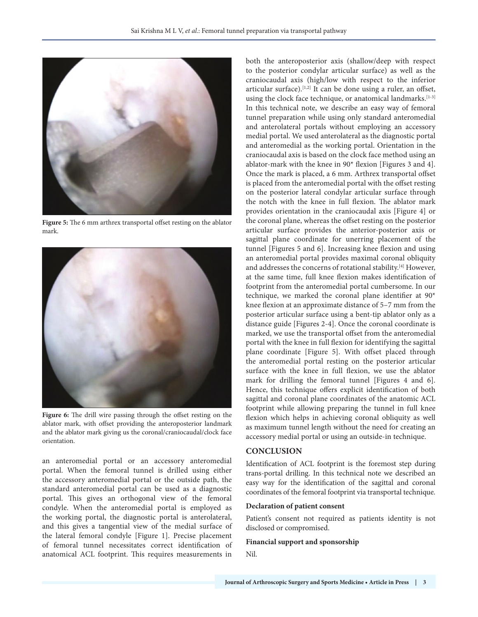

**Figure 5:** The 6 mm arthrex transportal offset resting on the ablator mark.



Figure 6: The drill wire passing through the offset resting on the ablator mark, with offset providing the anteroposterior landmark and the ablator mark giving us the coronal/craniocaudal/clock face orientation.

an anteromedial portal or an accessory anteromedial portal. When the femoral tunnel is drilled using either the accessory anteromedial portal or the outside path, the standard anteromedial portal can be used as a diagnostic portal. This gives an orthogonal view of the femoral condyle. When the anteromedial portal is employed as the working portal, the diagnostic portal is anterolateral, and this gives a tangential view of the medial surface of the lateral femoral condyle [Figure 1]. Precise placement of femoral tunnel necessitates correct identification of anatomical ACL footprint. This requires measurements in

both the anteroposterior axis (shallow/deep with respect to the posterior condylar articular surface) as well as the craniocaudal axis (high/low with respect to the inferior articular surface).<sup>[1,2]</sup> It can be done using a ruler, an offset, using the clock face technique, or anatomical landmarks.<sup>[1-3]</sup> In this technical note, we describe an easy way of femoral tunnel preparation while using only standard anteromedial and anterolateral portals without employing an accessory medial portal. We used anterolateral as the diagnostic portal and anteromedial as the working portal. Orientation in the craniocaudal axis is based on the clock face method using an ablator-mark with the knee in 90\* flexion [Figures 3 and 4]. Once the mark is placed, a 6 mm. Arthrex transportal offset is placed from the anteromedial portal with the offset resting on the posterior lateral condylar articular surface through the notch with the knee in full flexion. The ablator mark provides orientation in the craniocaudal axis [Figure 4] or the coronal plane, whereas the offset resting on the posterior articular surface provides the anterior-posterior axis or sagittal plane coordinate for unerring placement of the tunnel [Figures 5 and 6]. Increasing knee flexion and using an anteromedial portal provides maximal coronal obliquity and addresses the concerns of rotational stability.[4] However, at the same time, full knee flexion makes identification of footprint from the anteromedial portal cumbersome. In our technique, we marked the coronal plane identifier at 90\* knee flexion at an approximate distance of 5–7 mm from the posterior articular surface using a bent-tip ablator only as a distance guide [Figures 2-4]. Once the coronal coordinate is marked, we use the transportal offset from the anteromedial portal with the knee in full flexion for identifying the sagittal plane coordinate [Figure 5]. With offset placed through the anteromedial portal resting on the posterior articular surface with the knee in full flexion, we use the ablator mark for drilling the femoral tunnel [Figures 4 and 6]. Hence, this technique offers explicit identification of both sagittal and coronal plane coordinates of the anatomic ACL footprint while allowing preparing the tunnel in full knee flexion which helps in achieving coronal obliquity as well as maximum tunnel length without the need for creating an accessory medial portal or using an outside-in technique.

### **CONCLUSION**

Identification of ACL footprint is the foremost step during trans-portal drilling. In this technical note we described an easy way for the identification of the sagittal and coronal coordinates of the femoral footprint via transportal technique.

#### **Declaration of patient consent**

Patient's consent not required as patients identity is not disclosed or compromised.

#### **Financial support and sponsorship**

Nil.